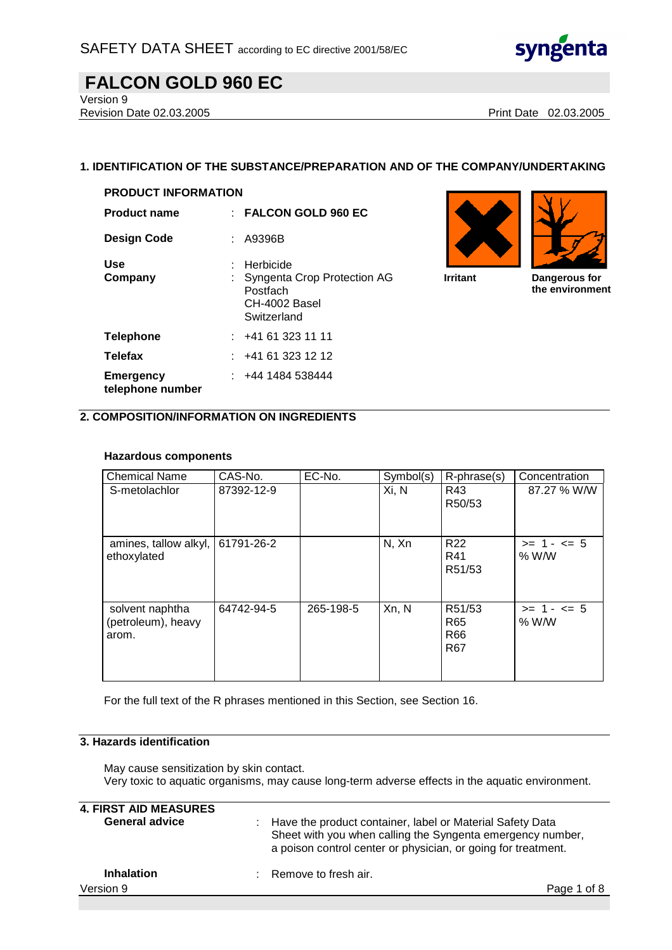

Version 9

Revision Date 02.03.2005 **Print Date 02.03.2005** 

### **1. IDENTIFICATION OF THE SUBSTANCE/PREPARATION AND OF THE COMPANY/UNDERTAKING**

| <b>PRODUCT INFORMATION</b>           |                                                                                      |
|--------------------------------------|--------------------------------------------------------------------------------------|
| <b>Product name</b>                  | : FALCON GOLD 960 EC                                                                 |
| <b>Design Code</b>                   | : A9396B                                                                             |
| Use<br>Company                       | Herbicide<br>Syngenta Crop Protection AG<br>Postfach<br>CH-4002 Basel<br>Switzerland |
| <b>Telephone</b>                     | : 441613231111                                                                       |
| <b>Telefax</b>                       | : 441613231212                                                                       |
| <b>Emergency</b><br>telephone number | : 4441484538444                                                                      |





**Irritant Dangerous for the environment**

### **2. COMPOSITION/INFORMATION ON INGREDIENTS**

#### **Hazardous components**

| <b>Chemical Name</b>                           | CAS-No.    | EC-No.    | Symbol(s) | R-phrase(s)                      | Concentration         |
|------------------------------------------------|------------|-----------|-----------|----------------------------------|-----------------------|
| S-metolachlor                                  | 87392-12-9 |           | Xi, N     | R43<br>R50/53                    | 87.27 % W/W           |
| amines, tallow alkyl,<br>ethoxylated           | 61791-26-2 |           | N, Xn     | R <sub>22</sub><br>R41<br>R51/53 | $>= 1 - 5$<br>$%$ W/W |
| solvent naphtha<br>(petroleum), heavy<br>arom. | 64742-94-5 | 265-198-5 | Xn, N     | R51/53<br>R65<br>R66<br>R67      | $>= 1 - 5$<br>% W/W   |

For the full text of the R phrases mentioned in this Section, see Section 16.

#### **3. Hazards identification**

May cause sensitization by skin contact. Very toxic to aquatic organisms, may cause long-term adverse effects in the aquatic environment.

| <b>4. FIRST AID MEASURES</b><br><b>General advice</b> | : Have the product container, label or Material Safety Data<br>Sheet with you when calling the Syngenta emergency number,<br>a poison control center or physician, or going for treatment. |
|-------------------------------------------------------|--------------------------------------------------------------------------------------------------------------------------------------------------------------------------------------------|
| <b>Inhalation</b>                                     | $\therefore$ Remove to fresh air.                                                                                                                                                          |
| Version 9                                             | Page 1 of 8                                                                                                                                                                                |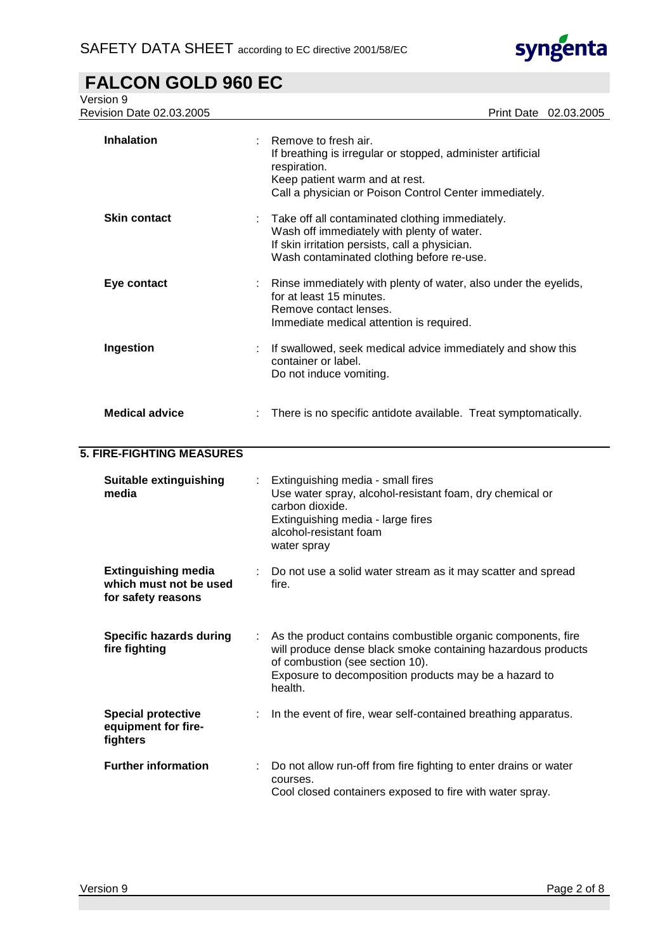

| Version 9<br>Revision Date 02.03.2005                                      |                                                                                                                                                                                                                                     |
|----------------------------------------------------------------------------|-------------------------------------------------------------------------------------------------------------------------------------------------------------------------------------------------------------------------------------|
|                                                                            | Print Date 02.03.2005                                                                                                                                                                                                               |
| <b>Inhalation</b>                                                          | Remove to fresh air.<br>If breathing is irregular or stopped, administer artificial<br>respiration.<br>Keep patient warm and at rest.<br>Call a physician or Poison Control Center immediately.                                     |
| <b>Skin contact</b>                                                        | Take off all contaminated clothing immediately.<br>Wash off immediately with plenty of water.<br>If skin irritation persists, call a physician.<br>Wash contaminated clothing before re-use.                                        |
| Eye contact                                                                | Rinse immediately with plenty of water, also under the eyelids,<br>for at least 15 minutes.<br>Remove contact lenses.<br>Immediate medical attention is required.                                                                   |
| Ingestion                                                                  | If swallowed, seek medical advice immediately and show this<br>container or label.<br>Do not induce vomiting.                                                                                                                       |
| <b>Medical advice</b>                                                      | There is no specific antidote available. Treat symptomatically.                                                                                                                                                                     |
| <b>5. FIRE-FIGHTING MEASURES</b>                                           |                                                                                                                                                                                                                                     |
| <b>Suitable extinguishing</b><br>media                                     | Extinguishing media - small fires<br>Use water spray, alcohol-resistant foam, dry chemical or<br>carbon dioxide.<br>Extinguishing media - large fires<br>alcohol-resistant foam<br>water spray                                      |
| <b>Extinguishing media</b><br>which must not be used<br>for safety reasons | Do not use a solid water stream as it may scatter and spread<br>fire.                                                                                                                                                               |
| <b>Specific hazards during</b><br>fire fighting                            | As the product contains combustible organic components, fire<br>will produce dense black smoke containing hazardous products<br>of combustion (see section 10).<br>Exposure to decomposition products may be a hazard to<br>health. |
| <b>Special protective</b><br>equipment for fire-<br>fighters               | In the event of fire, wear self-contained breathing apparatus.                                                                                                                                                                      |
| <b>Further information</b>                                                 | Do not allow run-off from fire fighting to enter drains or water<br>courses.<br>Cool closed containers exposed to fire with water spray.                                                                                            |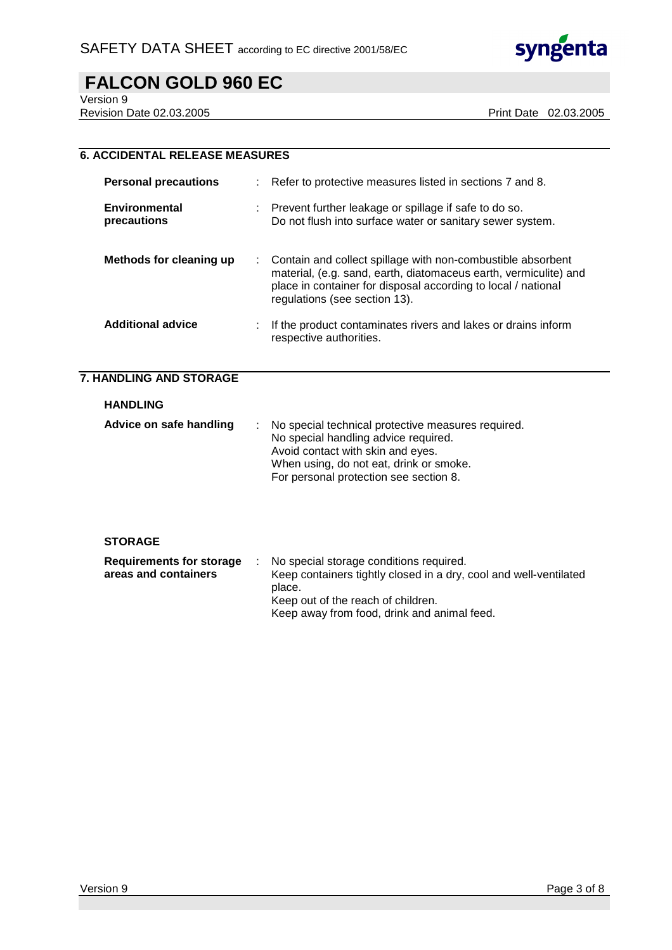

Version 9

Revision Date 02.03.2005 **Print Date 02.03.2005** 

| <b>6. ACCIDENTAL RELEASE MEASURES</b>                   |                                                                                                                                                                                                                                   |
|---------------------------------------------------------|-----------------------------------------------------------------------------------------------------------------------------------------------------------------------------------------------------------------------------------|
| <b>Personal precautions</b>                             | Refer to protective measures listed in sections 7 and 8.                                                                                                                                                                          |
| <b>Environmental</b><br>precautions                     | Prevent further leakage or spillage if safe to do so.<br>Do not flush into surface water or sanitary sewer system.                                                                                                                |
| Methods for cleaning up                                 | Contain and collect spillage with non-combustible absorbent<br>material, (e.g. sand, earth, diatomaceus earth, vermiculite) and<br>place in container for disposal according to local / national<br>regulations (see section 13). |
| <b>Additional advice</b>                                | If the product contaminates rivers and lakes or drains inform<br>respective authorities.                                                                                                                                          |
| <b>7. HANDLING AND STORAGE</b>                          |                                                                                                                                                                                                                                   |
|                                                         |                                                                                                                                                                                                                                   |
| <b>HANDLING</b>                                         |                                                                                                                                                                                                                                   |
| Advice on safe handling                                 | No special technical protective measures required.<br>No special handling advice required.<br>Avoid contact with skin and eyes.<br>When using, do not eat, drink or smoke.<br>For personal protection see section 8.              |
| <b>STORAGE</b>                                          |                                                                                                                                                                                                                                   |
| <b>Requirements for storage</b><br>areas and containers | No special storage conditions required.<br>Keep containers tightly closed in a dry, cool and well-ventilated<br>place.<br>Keep out of the reach of children.<br>Keep away from food, drink and animal feed.                       |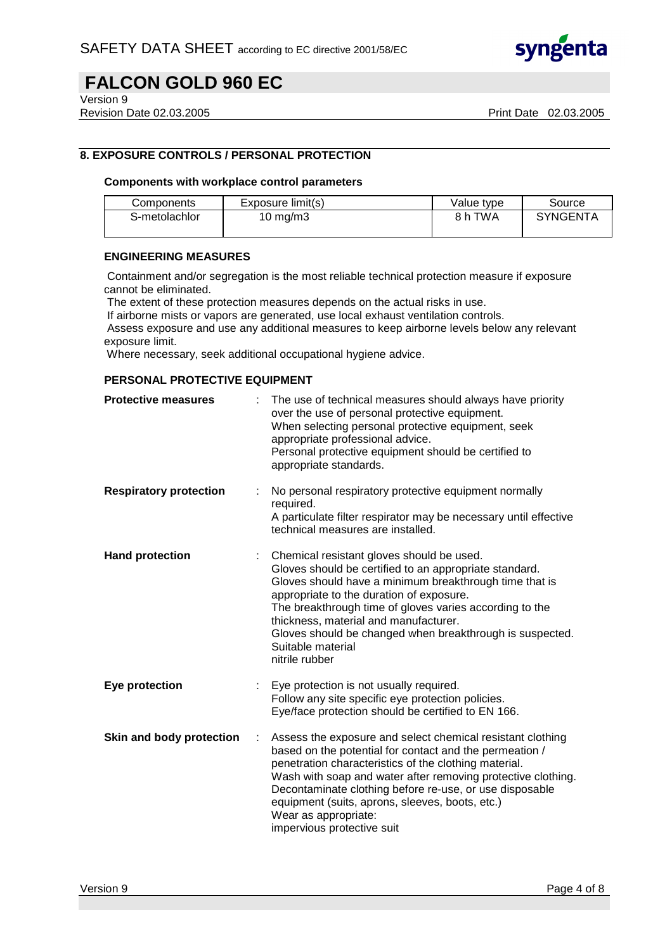

Version 9

Revision Date 02.03.2005 **Print Date 02.03.2005** Print Date 02.03.2005

## **8. EXPOSURE CONTROLS / PERSONAL PROTECTION**

#### **Components with workplace control parameters**

| Components    | Exposure limit(s) | Value type | Source          |
|---------------|-------------------|------------|-----------------|
| S-metolachlor | 10 mg/m $3$       | 8 h TWA    | <b>SYNGENTA</b> |

#### **ENGINEERING MEASURES**

 Containment and/or segregation is the most reliable technical protection measure if exposure cannot be eliminated.

The extent of these protection measures depends on the actual risks in use.

If airborne mists or vapors are generated, use local exhaust ventilation controls.

 Assess exposure and use any additional measures to keep airborne levels below any relevant exposure limit.

Where necessary, seek additional occupational hygiene advice.

#### **PERSONAL PROTECTIVE EQUIPMENT**

| <b>Protective measures</b>    |   | The use of technical measures should always have priority<br>over the use of personal protective equipment.<br>When selecting personal protective equipment, seek<br>appropriate professional advice.<br>Personal protective equipment should be certified to<br>appropriate standards.                                                                                                                            |
|-------------------------------|---|--------------------------------------------------------------------------------------------------------------------------------------------------------------------------------------------------------------------------------------------------------------------------------------------------------------------------------------------------------------------------------------------------------------------|
| <b>Respiratory protection</b> |   | No personal respiratory protective equipment normally<br>required.<br>A particulate filter respirator may be necessary until effective<br>technical measures are installed.                                                                                                                                                                                                                                        |
| <b>Hand protection</b>        |   | Chemical resistant gloves should be used.<br>Gloves should be certified to an appropriate standard.<br>Gloves should have a minimum breakthrough time that is<br>appropriate to the duration of exposure.<br>The breakthrough time of gloves varies according to the<br>thickness, material and manufacturer.<br>Gloves should be changed when breakthrough is suspected.<br>Suitable material<br>nitrile rubber   |
| <b>Eye protection</b>         |   | Eye protection is not usually required.<br>Follow any site specific eye protection policies.<br>Eye/face protection should be certified to EN 166.                                                                                                                                                                                                                                                                 |
| Skin and body protection      | ÷ | Assess the exposure and select chemical resistant clothing<br>based on the potential for contact and the permeation /<br>penetration characteristics of the clothing material.<br>Wash with soap and water after removing protective clothing.<br>Decontaminate clothing before re-use, or use disposable<br>equipment (suits, aprons, sleeves, boots, etc.)<br>Wear as appropriate:<br>impervious protective suit |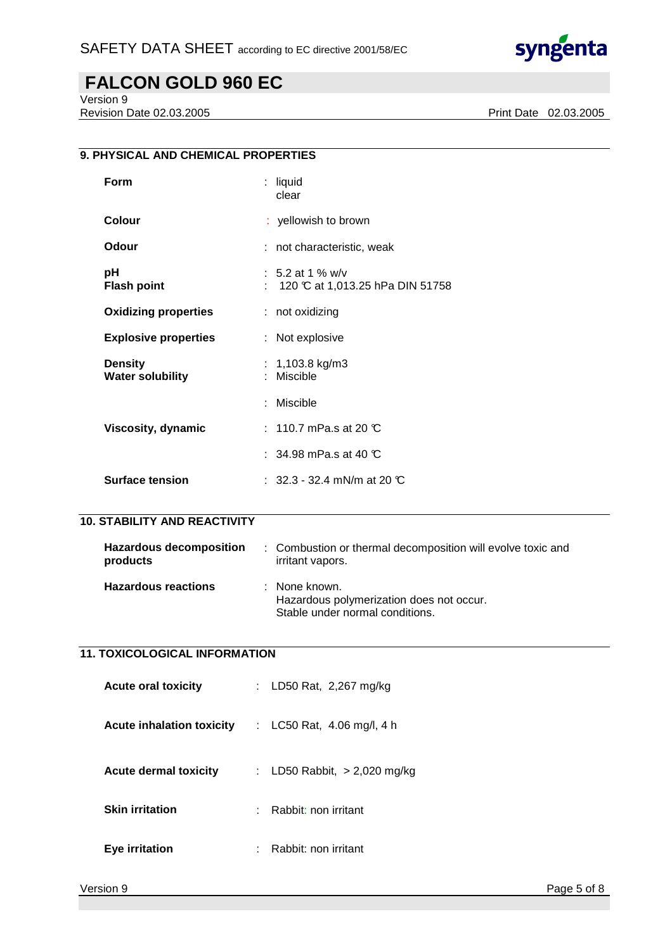

Version 9

Revision Date 02.03.2005 **Print Date 02.03.2005** 

## **9. PHYSICAL AND CHEMICAL PROPERTIES**

| Form                                      | : liquid<br>clear                                    |
|-------------------------------------------|------------------------------------------------------|
| Colour                                    | : yellowish to brown                                 |
| Odour                                     | : not characteristic, weak                           |
| рH<br><b>Flash point</b>                  | : 5.2 at 1 % w/v<br>120 °C at 1,013.25 hPa DIN 51758 |
| <b>Oxidizing properties</b>               | : not oxidizing                                      |
| <b>Explosive properties</b>               | : Not explosive                                      |
| <b>Density</b><br><b>Water solubility</b> | : $1,103.8$ kg/m3<br>Miscible                        |
|                                           | Miscible                                             |
| Viscosity, dynamic                        | $:~$ 110.7 mPa.s at 20 $\mathbb C$                   |
|                                           | : 34.98 mPa.s at 40 $\mathbb C$                      |
| <b>Surface tension</b>                    | : $32.3$ - $32.4$ mN/m at 20 $\mathbb C$             |

## **10. STABILITY AND REACTIVITY**

| <b>Hazardous decomposition</b><br>products | : Combustion or thermal decomposition will evolve toxic and<br>irritant vapors.              |
|--------------------------------------------|----------------------------------------------------------------------------------------------|
| <b>Hazardous reactions</b>                 | : None known.<br>Hazardous polymerization does not occur.<br>Stable under normal conditions. |

## **11. TOXICOLOGICAL INFORMATION**

| <b>Acute oral toxicity</b>       | : LD50 Rat, 2,267 mg/kg        |
|----------------------------------|--------------------------------|
| <b>Acute inhalation toxicity</b> | : LC50 Rat, 4.06 mg/l, 4 h     |
| <b>Acute dermal toxicity</b>     | : LD50 Rabbit, $> 2,020$ mg/kg |
| <b>Skin irritation</b>           | $:$ Rabbit: non irritant       |
| Eye irritation                   | Rabbit: non irritant           |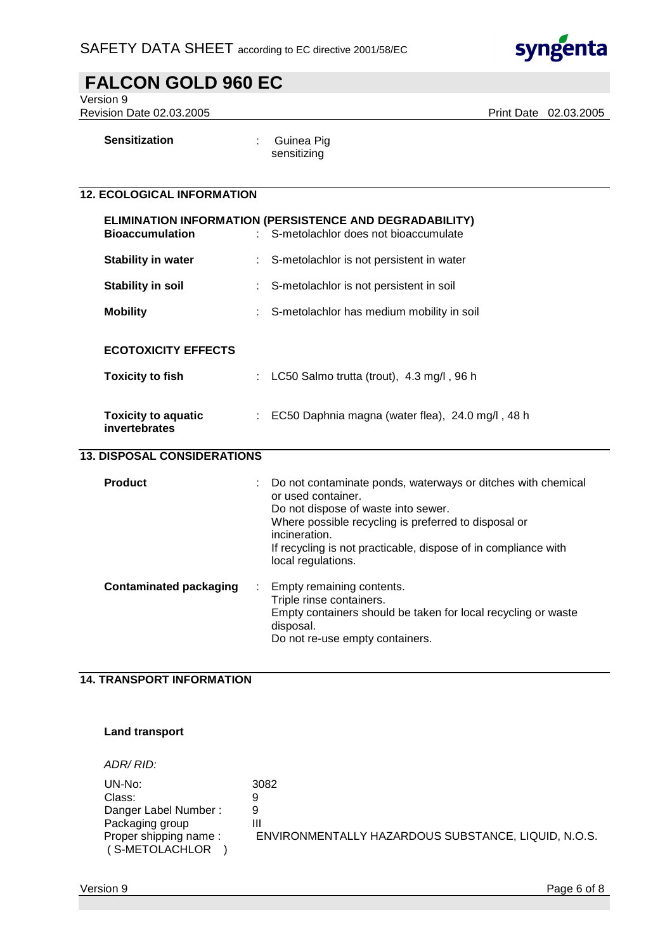

| <b>FALCON GOLD 960 EC</b>                    |   |                                                                                                                                                                                                                                                                                            |
|----------------------------------------------|---|--------------------------------------------------------------------------------------------------------------------------------------------------------------------------------------------------------------------------------------------------------------------------------------------|
| Version 9<br><b>Revision Date 02.03.2005</b> |   | Print Date 02.03.2005                                                                                                                                                                                                                                                                      |
| <b>Sensitization</b>                         |   | Guinea Pig<br>sensitizing                                                                                                                                                                                                                                                                  |
| <b>12. ECOLOGICAL INFORMATION</b>            |   |                                                                                                                                                                                                                                                                                            |
| <b>Bioaccumulation</b>                       |   | ELIMINATION INFORMATION (PERSISTENCE AND DEGRADABILITY)<br>S-metolachlor does not bioaccumulate                                                                                                                                                                                            |
| <b>Stability in water</b>                    |   | S-metolachlor is not persistent in water                                                                                                                                                                                                                                                   |
| <b>Stability in soil</b>                     |   | S-metolachlor is not persistent in soil                                                                                                                                                                                                                                                    |
| <b>Mobility</b>                              |   | S-metolachlor has medium mobility in soil                                                                                                                                                                                                                                                  |
| <b>ECOTOXICITY EFFECTS</b>                   |   |                                                                                                                                                                                                                                                                                            |
| <b>Toxicity to fish</b>                      |   | LC50 Salmo trutta (trout), 4.3 mg/l, 96 h                                                                                                                                                                                                                                                  |
| <b>Toxicity to aquatic</b><br>invertebrates  | ÷ | EC50 Daphnia magna (water flea), 24.0 mg/l, 48 h                                                                                                                                                                                                                                           |
| <b>13. DISPOSAL CONSIDERATIONS</b>           |   |                                                                                                                                                                                                                                                                                            |
| <b>Product</b>                               |   | Do not contaminate ponds, waterways or ditches with chemical<br>or used container.<br>Do not dispose of waste into sewer.<br>Where possible recycling is preferred to disposal or<br>incineration.<br>If recycling is not practicable, dispose of in compliance with<br>local regulations. |
| <b>Contaminated packaging</b>                |   | Empty remaining contents.<br>Triple rinse containers.<br>Empty containers should be taken for local recycling or waste<br>disposal.<br>Do not re-use empty containers.                                                                                                                     |

## **14. TRANSPORT INFORMATION**

### **Land transport**

ADR/ RID:

| UN-No:                | 3082                                                |
|-----------------------|-----------------------------------------------------|
| Class:                | 9                                                   |
| Danger Label Number:  |                                                     |
| Packaging group       | Ш                                                   |
| Proper shipping name: | ENVIRONMENTALLY HAZARDOUS SUBSTANCE, LIQUID, N.O.S. |
| (S-METOLACHLOR        |                                                     |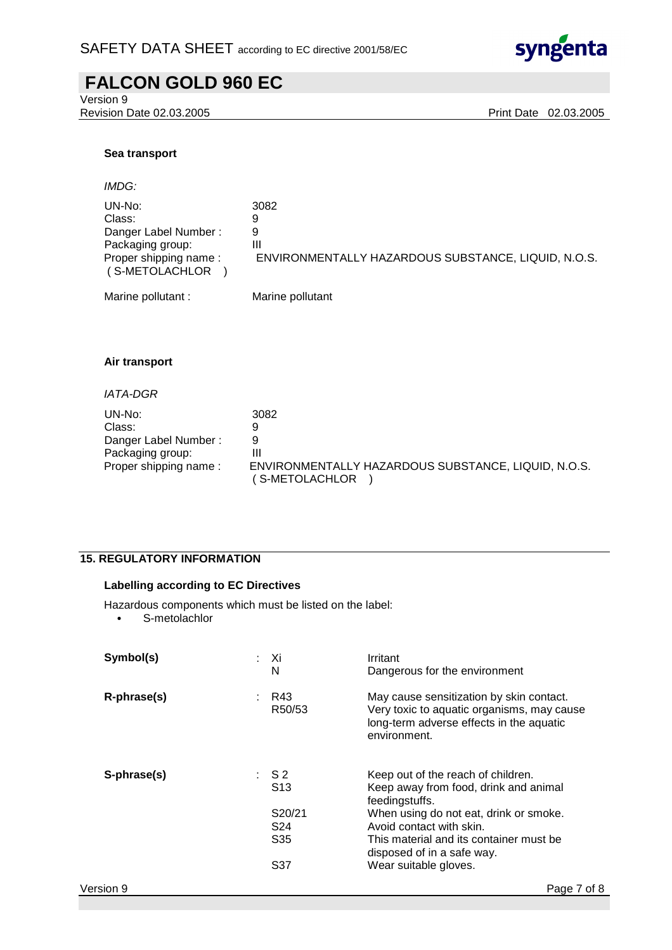

## **FALCON GOLD 960 EC**  Version 9 Revision Date 02.03.2005 Print Date 02.03.2005 **Sea transport**  IMDG: UN-No: 3082 Class: 9 Danger Label Number : 9<br>Packaging group: [1] Packaging group: Proper shipping name : ENVIRONMENTALLY HAZARDOUS SUBSTANCE, LIQUID, N.O.S. ( S-METOLACHLOR ) Marine pollutant : Marine pollutant **Air transport**  IATA-DGR UN-No: 3082 Class: 9 Danger Label Number : 9

Packaging group: III Proper shipping name : ENVIRONMENTALLY HAZARDOUS SUBSTANCE, LIQUID, N.O.S. ( S-METOLACHLOR )

## **15. REGULATORY INFORMATION**

#### **Labelling according to EC Directives**

Hazardous components which must be listed on the label:

• S-metolachlor

| Symbol(s)   | : Xi<br>N           | Irritant<br>Dangerous for the environment                                                                                                          |
|-------------|---------------------|----------------------------------------------------------------------------------------------------------------------------------------------------|
| R-phrase(s) | R43<br>÷.<br>R50/53 | May cause sensitization by skin contact.<br>Very toxic to aquatic organisms, may cause<br>long-term adverse effects in the aquatic<br>environment. |
| S-phrase(s) | : S2<br>S13         | Keep out of the reach of children.<br>Keep away from food, drink and animal<br>feedingstuffs.                                                      |
|             | S20/21              | When using do not eat, drink or smoke.                                                                                                             |
|             | S24                 | Avoid contact with skin.                                                                                                                           |
|             | S35                 | This material and its container must be<br>disposed of in a safe way.                                                                              |
|             | S37                 | Wear suitable gloves.                                                                                                                              |
| Version 9   |                     | Page 7 of 8                                                                                                                                        |